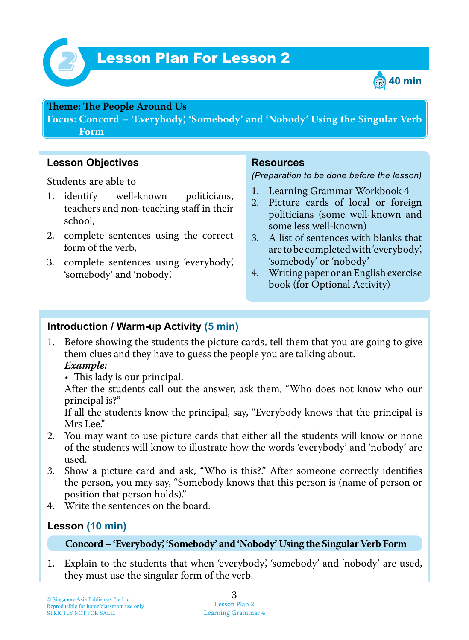



## **Teme : Te People Around Us**

**Focus: Concord – 'Everybody', 'Somebody' and 'Nobody' Using the Singular Verb Form**

**Lesson Objectives**

Students are able to

- 1. identify well-known politicians, teachers and non-teaching staff in their school,
- 2. complete sentences using the correct form of the verb,
- 3. complete sentences using 'everybody', 'somebody' and 'nobody'.

## **Resources**

*(Preparation to be done before the lesson)*

- 1. Learning Grammar Workbook 4
- 2. Picture cards of local or foreign politicians (some well-known and some less well-known)
- 3. A list of sentences with blanks that are to be completed with 'everybody', 'somebody' or 'nobody'
- 4. Writing paper or an English exercise book (for Optional Activity)

## **Introduction / Warm-up Activity (5 min)**

- 1. Before showing the students the picture cards, tell them that you are going to give them clues and they have to guess the people you are talking about.  *Example:*
	- This lady is our principal.

After the students call out the answer, ask them, "Who does not know who our principal is?"

If all the students know the principal, say, "Everybody knows that the principal is Mrs Lee."

- 2. You may want to use picture cards that either all the students will know or none of the students will know to illustrate how the words 'everybody' and 'nobody' are used.
- 3. Show a picture card and ask, "Who is this?." After someone correctly identifies the person, you may say, "Somebody knows that this person is (name of person or position that person holds)."
- 4. Write the sentences on the board.

# **Lesson (10 min)**

#### **Concord – 'Everybody', 'Somebody' and 'Nobody' Using the Singular Verb Form**

1. Explain to the students that when 'everybody', 'somebody' and 'nobody' are used, they must use the singular form of the verb.